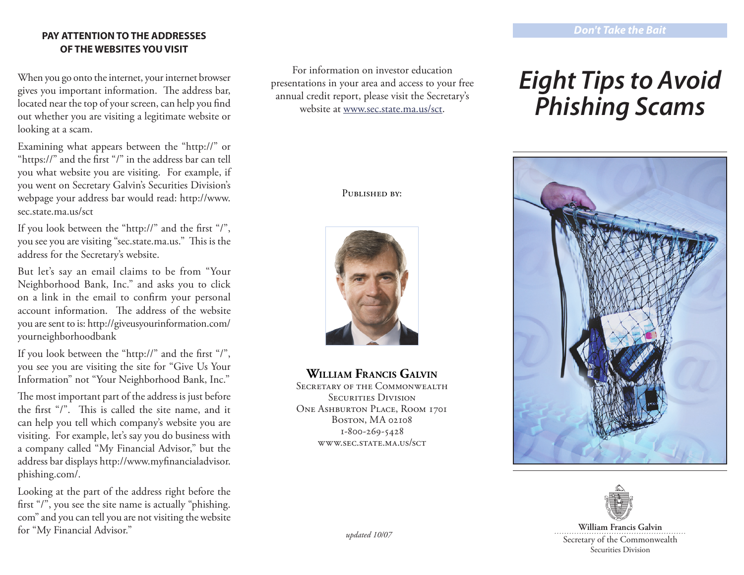## **PAY ATTENTION TO THE ADDRESSES OF THE WEBSITES YOU VISIT**

When you go onto the internet, your internet browser gives you important information. The address bar, located near the top of your screen, can help you find out whether you are visiting a legitimate website or looking at a scam.

Examining what appears between the "http://" or "https://" and the first "/" in the address bar can tell you what website you are visiting. For example, if you went on Secretary Galvin's Securities Division's webpage your address bar would read: http://www. sec.state.ma.us/sct

If you look between the "http://" and the first "/", you see you are visiting "sec.state.ma.us." This is the address for the Secretary's website.

But let's say an email claims to be from "Your Neighborhood Bank, Inc." and asks you to click on a link in the email to confirm your personal account information. The address of the website you are sent to is: http://giveusyourinformation.com/ yourneighborhoodbank

If you look between the "http://" and the first "/", you see you are visiting the site for "Give Us Your Information" not "Your Neighborhood Bank, Inc."

The most important part of the address is just before the first "/". This is called the site name, and it can help you tell which company's website you are visiting. For example, let's say you do business with a company called "My Financial Advisor," but the address bar displays http://www.myfinancialadvisor. phishing.com/.

Looking at the part of the address right before the first "/", you see the site name is actually "phishing. com" and you can tell you are not visiting the website for "My Financial Advisor."

For information on investor education presentations in your area and access to your free annual credit report, please visit the Secretary's website at www.sec.state.ma.us/sct.

PUBLISHED BY:



# **William Francis Galvin**

SECRETARY OF THE COMMONWEALTH SECURITIES DIVISION ONE ASHBURTON PLACE, ROOM 1701 Boston, MA 02108 1-800-269-5428 www.sec.state.ma.us/sct

# *Eight Tips to Avoid Phishing Scams*





**William Francis Galvin** Secretary of the Commonwealth Securities Division

*updated 10/07*